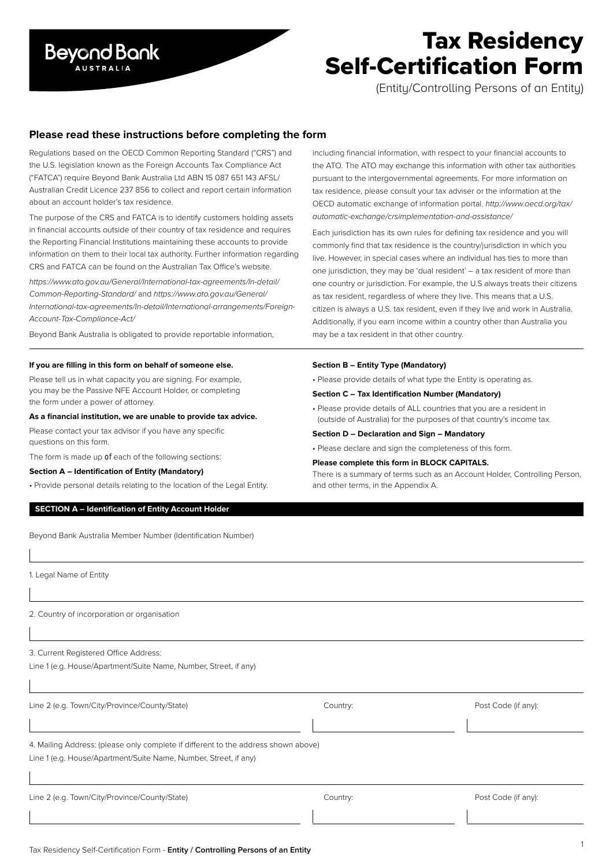

# Tax Residency Self-Certification Form

(Entity/Controlling Persons of an Entity)

# **Please read these instructions before completing the form**

Regulations based on the OECD Common Reporting Standard ("CRS") and the U.S. legislation known as the Foreign Accounts Tax Compliance Act ("FATCA") require Beyond Bank Australia Ltd ABN 15 087 651 143 AFSL/ Australian Credit Licence 237 856 to collect and report certain information about an account holder's tax residence.

The purpose of the CRS and FATCA is to identify customers holding assets in financial accounts outside of their country of tax residence and requires the Reporting Financial Institutions maintaining these accounts to provide information on them to their local tax authority. Further information regarding CRS and FATCA can be found on the Australian Tax Office's website.

*https://www.ato.gov.au/General/International-tax-agreements/In-detail/ Common-Reporting-Standard/* and *https://www.ato.gov.au/General/ International-tax-agreements/In-detail/International-arrangements/Foreign-Account-Tax-Compliance-Act/*

Beyond Bank Australia is obligated to provide reportable information,

# **If you are filling in this form on behalf of someone else.**

Please tell us in what capacity you are signing. For example, you may be the Passive NFE Account Holder, or completing the form under a power of attorney.

# **As a financial institution, we are unable to provide tax advice.**

Please contact your tax advisor if you have any specific questions on this form.

The form is made up of each of the following sections:

# **Section A – Identification of Entity (Mandatory)**

• Provide personal details relating to the location of the Legal Entity.

# **SECTION A – Identification of Entity Account Holder**

Beyond Bank Australia Member Number (Identification Number)

1. Legal Name of Entity

2. Country of incorporation or organisation

3. Current Registered Office Address:

Line 1 (e.g. House/Apartment/Suite Name, Number, Street, if any)

| Line 2 (e.g. Town/City/Province/County/State)                                                                                                          | Country: | Post Code (if any): |
|--------------------------------------------------------------------------------------------------------------------------------------------------------|----------|---------------------|
|                                                                                                                                                        |          |                     |
| 4. Mailing Address: (please only complete if different to the address shown above)<br>Line 1 (e.g. House/Apartment/Suite Name, Number, Street, if any) |          |                     |
|                                                                                                                                                        |          |                     |
| Line 2 (e.g. Town/City/Province/County/State)                                                                                                          | Country: | Post Code (if any): |

including financial information, with respect to your financial accounts to the ATO. The ATO may exchange this information with other tax authorities pursuant to the intergovernmental agreements. For more information on tax residence, please consult your tax adviser or the information at the OECD automatic exchange of information portal. *http://www.oecd.org/tax/ automatic-exchange/crsimplementation-and-assistance/*

Each jurisdiction has its own rules for defining tax residence and you will commonly find that tax residence is the country/jurisdiction in which you live. However, in special cases where an individual has ties to more than one jurisdiction, they may be 'dual resident' – a tax resident of more than one country or jurisdiction. For example, the U.S always treats their citizens as tax resident, regardless of where they live. This means that a U.S. citizen is always a U.S. tax resident, even if they live and work in Australia. Additionally, if you earn income within a country other than Australia you may be a tax resident in that other country.

### **Section B – Entity Type (Mandatory)**

• Please provide details of what type the Entity is operating as.

# **Section C – Tax Identification Number (Mandatory)**

- Please provide details of ALL countries that you are a resident in (outside of Australia) for the purposes of that country's income tax.
- **Section D Declaration and Sign Mandatory**
- Please declare and sign the completeness of this form.

# **Please complete this form in BLOCK CAPITALS.**

There is a summary of terms such as an Account Holder, Controlling Person, and other terms, in the Appendix A.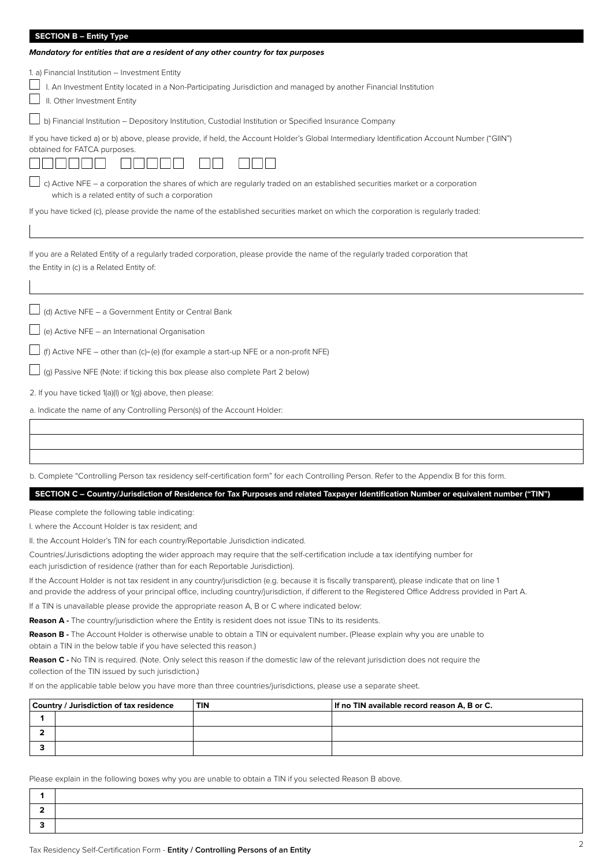### **SECTION B – Entity Type**

| Mandatory for entities that are a resident of any other country for tax purposes                                                                                                                   |
|----------------------------------------------------------------------------------------------------------------------------------------------------------------------------------------------------|
| 1. a) Financial Institution - Investment Entity<br>I. An Investment Entity located in a Non-Participating Jurisdiction and managed by another Financial Institution<br>II. Other Investment Entity |
| b) Financial Institution - Depository Institution, Custodial Institution or Specified Insurance Company                                                                                            |
| If you have ticked a) or b) above, please provide, if held, the Account Holder's Global Intermediary Identification Account Number ("GIIN")<br>obtained for FATCA purposes.                        |
| c) Active NFE - a corporation the shares of which are regularly traded on an established securities market or a corporation<br>which is a related entity of such a corporation                     |
| If you have ticked (c), please provide the name of the established securities market on which the corporation is regularly traded:                                                                 |
| If you are a Related Entity of a regularly traded corporation, please provide the name of the regularly traded corporation that<br>the Entity in (c) is a Related Entity of:                       |
| (d) Active NFE - a Government Entity or Central Bank                                                                                                                                               |
| (e) Active NFE - an International Organisation                                                                                                                                                     |

 $\Box$  (f) Active NFE – other than (c)–(e) (for example a start-up NFE or a non-profit NFE)

 $\Box$  (g) Passive NFE (Note: if ticking this box please also complete Part 2 below)

2. If you have ticked 1(a)(I) or 1(g) above, then please:

a. Indicate the name of any Controlling Person(s) of the Account Holder:

b. Complete "Controlling Person tax residency self-certification form" for each Controlling Person. Refer to the Appendix B for this form.

# **SECTION C – Country/Jurisdiction of Residence for Tax Purposes and related Taxpayer Identification Number or equivalent number ("TIN")**

Please complete the following table indicating:

I. where the Account Holder is tax resident; and

II. the Account Holder's TIN for each country/Reportable Jurisdiction indicated.

Countries/Jurisdictions adopting the wider approach may require that the self-certification include a tax identifying number for each jurisdiction of residence (rather than for each Reportable Jurisdiction).

If the Account Holder is not tax resident in any country/jurisdiction (e.g. because it is fiscally transparent), please indicate that on line 1 and provide the address of your principal office, including country/jurisdiction, if different to the Registered Office Address provided in Part A.

If a TIN is unavailable please provide the appropriate reason A, B or C where indicated below:

**Reason A -** The country/jurisdiction where the Entity is resident does not issue TINs to its residents.

obtain a TIN in the below table if you have selected this reason.) **Reason B -** The Account Holder is otherwise unable to obtain a TIN or equivalent number. (Please explain why you are unable to

**Reason C -** No TIN is required. (Note. Only select this reason if the domestic law of the relevant jurisdiction does not require the collection of the TIN issued by such jurisdiction.)

If on the applicable table below you have more than three countries/jurisdictions, please use a separate sheet.

| Country / Jurisdiction of tax residence<br><b>TIN</b> |  | If no TIN available record reason A, B or C. |  |  |
|-------------------------------------------------------|--|----------------------------------------------|--|--|
|                                                       |  |                                              |  |  |
|                                                       |  |                                              |  |  |
|                                                       |  |                                              |  |  |

Please explain in the following boxes why you are unable to obtain a TIN if you selected Reason B above.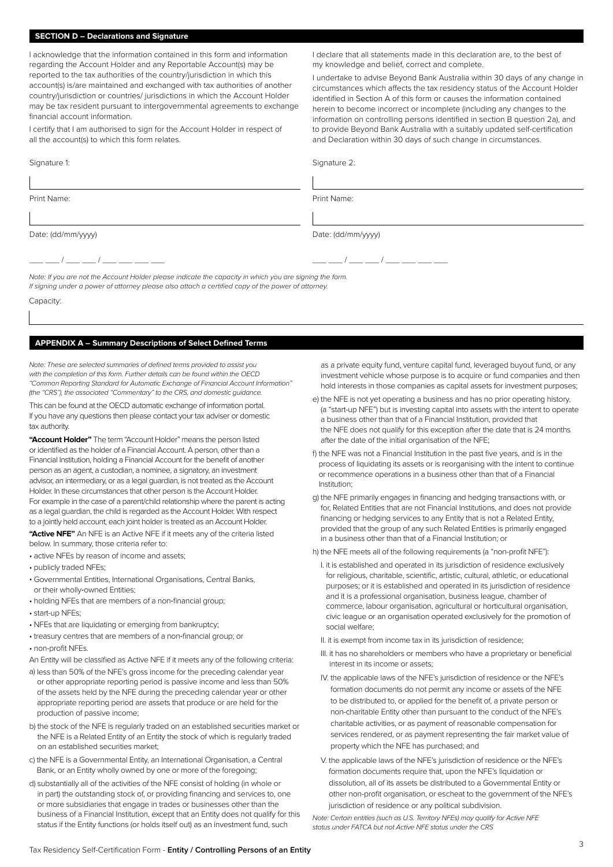# **SECTION D – Declarations and Signature**

I acknowledge that the information contained in this form and information regarding the Account Holder and any Reportable Account(s) may be reported to the tax authorities of the country/jurisdiction in which this account(s) is/are maintained and exchanged with tax authorities of another country/jurisdiction or countries/ jurisdictions in which the Account Holder may be tax resident pursuant to intergovernmental agreements to exchange financial account information.

I certify that I am authorised to sign for the Account Holder in respect of all the account(s) to which this form relates.

### Signature 1:

Print Name:

I declare that all statements made in this declaration are, to the best of my knowledge and belief, correct and complete.

I undertake to advise Beyond Bank Australia within 30 days of any change in circumstances which affects the tax residency status of the Account Holder identified in Section A of this form or causes the information contained herein to become incorrect or incomplete (including any changes to the information on controlling persons identified in section B question 2a), and to provide Beyond Bank Australia with a suitably updated self-certification and Declaration within 30 days of such change in circumstances.

Signature 2:

Print Name:

Date: (dd/mm/yyyy)

\_\_\_\_ \_\_\_ / \_\_\_\_ \_\_ / \_\_\_\_ \_\_\_ \_\_\_ \_\_\_

 $\frac{1}{2}$  /  $\frac{1}{2}$ 

Date: (dd/mm/yyyy)

*Note: If you are not the Account Holder please indicate the capacity in which you are signing the form. If signing under a power of attorney please also attach a certified copy of the power of attorney.*

Capacity:

# **APPENDIX A – Summary Descriptions of Select Defined Terms**

*Note: These are selected summaries of defined terms provided to assist you with the completion of this form. Further details can be found within the OECD "Common Reporting Standard for Automatic Exchange of Financial Account Information" (the "CRS"), the associated "Commentary" to the CRS, and domestic guidance.*

This can be found at the OECD automatic exchange of information portal. If you have any questions then please contact your tax adviser or domestic tax authority.

**"Account Holder"** The term "Account Holder" means the person listed or identified as the holder of a Financial Account. A person, other than a Financial Institution, holding a Financial Account for the benefit of another person as an agent, a custodian, a nominee, a signatory, an investment advisor, an intermediary, or as a legal guardian, is not treated as the Account Holder. In these circumstances that other person is the Account Holder. For example in the case of a parent/child relationship where the parent is acting as a legal guardian, the child is regarded as the Account Holder. With respect to a jointly held account, each joint holder is treated as an Account Holder.

**"Active NFE"** An NFE is an Active NFE if it meets any of the criteria listed below. In summary, those criteria refer to:

• active NFEs by reason of income and assets;

- publicly traded NFEs;
- Governmental Entities, International Organisations, Central Banks, or their wholly-owned Entities;
- holding NFEs that are members of a non-financial group;
- start-up NFEs;
- NFEs that are liquidating or emerging from bankruptcy;
- treasury centres that are members of a non-financial group; or
- non-profit NFEs.
- An Entity will be classified as Active NFE if it meets any of the following criteria:
- a) less than 50% of the NFE's gross income for the preceding calendar year or other appropriate reporting period is passive income and less than 50% of the assets held by the NFE during the preceding calendar year or other appropriate reporting period are assets that produce or are held for the production of passive income;
- b) the stock of the NFE is regularly traded on an established securities market or the NFE is a Related Entity of an Entity the stock of which is regularly traded on an established securities market;
- c) the NFE is a Governmental Entity, an International Organisation, a Central Bank, or an Entity wholly owned by one or more of the foregoing;
- d) substantially all of the activities of the NFE consist of holding (in whole or in part) the outstanding stock of, or providing financing and services to, one or more subsidiaries that engage in trades or businesses other than the business of a Financial Institution, except that an Entity does not qualify for this status if the Entity functions (or holds itself out) as an investment fund, such

as a private equity fund, venture capital fund, leveraged buyout fund, or any investment vehicle whose purpose is to acquire or fund companies and then hold interests in those companies as capital assets for investment purposes;

- e) the NFE is not yet operating a business and has no prior operating history, (a "start-up NFE") but is investing capital into assets with the intent to operate a business other than that of a Financial Institution, provided that the NFE does not qualify for this exception after the date that is 24 months after the date of the initial organisation of the NFE;
- f) the NFE was not a Financial Institution in the past five years, and is in the process of liquidating its assets or is reorganising with the intent to continue or recommence operations in a business other than that of a Financial Institution;
- g) the NFE primarily engages in financing and hedging transactions with, or for, Related Entities that are not Financial Institutions, and does not provide financing or hedging services to any Entity that is not a Related Entity, provided that the group of any such Related Entities is primarily engaged in a business other than that of a Financial Institution; or

h) the NFE meets all of the following requirements (a "non-profit NFE"):

- I. it is established and operated in its jurisdiction of residence exclusively for religious, charitable, scientific, artistic, cultural, athletic, or educational purposes; or it is established and operated in its jurisdiction of residence and it is a professional organisation, business league, chamber of commerce, labour organisation, agricultural or horticultural organisation, civic league or an organisation operated exclusively for the promotion of social welfare;
- II. it is exempt from income tax in its jurisdiction of residence;
- III. it has no shareholders or members who have a proprietary or beneficial interest in its income or assets;
- IV. the applicable laws of the NFE's jurisdiction of residence or the NFE's formation documents do not permit any income or assets of the NFE to be distributed to, or applied for the benefit of, a private person or non-charitable Entity other than pursuant to the conduct of the NFE's charitable activities, or as payment of reasonable compensation for services rendered, or as payment representing the fair market value of property which the NFE has purchased; and
- V. the applicable laws of the NFE's jurisdiction of residence or the NFE's formation documents require that, upon the NFE's liquidation or dissolution, all of its assets be distributed to a Governmental Entity or other non-profit organisation, or escheat to the government of the NFE's jurisdiction of residence or any political subdivision.

*Note: Certain entities (such as U.S. Territory NFEs) may qualify for Active NFE status under FATCA but not Active NFE status under the CRS*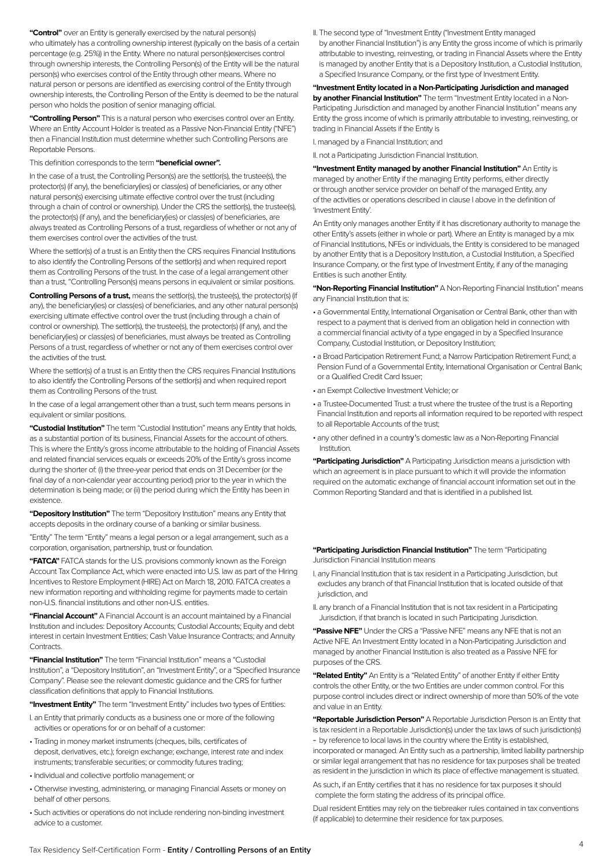**"Control"** over an Entity is generally exercised by the natural person(s) who ultimately has a controlling ownership interest (typically on the basis of a certain percentage (e.g. 25%)) in the Entity. Where no natural person(s)exercises control through ownership interests, the Controlling Person(s) of the Entity will be the natural person(s) who exercises control of the Entity through other means. Where no natural person or persons are identified as exercising control of the Entity through ownership interests, the Controlling Person of the Entity is deemed to be the natural person who holds the position of senior managing official.

**"Controlling Person"** This is a natural person who exercises control over an Entity. Where an Entity Account Holder is treated as a Passive Non-Financial Entity ("NFE") then a Financial Institution must determine whether such Controlling Persons are Reportable Persons.

This definition corresponds to the term **"beneficial owner".** 

In the case of a trust, the Controlling Person(s) are the settlor(s), the trustee(s), the protector(s) (if any), the beneficiary(ies) or class(es) of beneficiaries, or any other natural person(s) exercising ultimate effective control over the trust (including through a chain of control or ownership). Under the CRS the settlor(s), the trustee(s), the protector(s) (if any), and the beneficiary(ies) or class(es) of beneficiaries, are always treated as Controlling Persons of a trust, regardless of whether or not any of them exercises control over the activities of the trust.

Where the settlor(s) of a trust is an Entity then the CRS requires Financial Institutions to also identify the Controlling Persons of the settlor(s) and when required report them as Controlling Persons of the trust. In the case of a legal arrangement other than a trust, "Controlling Person(s) means persons in equivalent or similar positions.

**Controlling Persons of a trust,** means the settlor(s), the trustee(s), the protector(s) (if any), the beneficiary(ies) or class(es) of beneficiaries, and any other natural person(s) exercising ultimate effective control over the trust (including through a chain of control or ownership). The settlor(s), the trustee(s), the protector(s) (if any), and the beneficiary(ies) or class(es) of beneficiaries, must always be treated as Controlling Persons of a trust, regardless of whether or not any of them exercises control over the activities of the trust.

Where the settlor(s) of a trust is an Entity then the CRS requires Financial Institutions to also identify the Controlling Persons of the settlor(s) and when required report them as Controlling Persons of the trust.

In the case of a legal arrangement other than a trust, such term means persons in equivalent or similar positions.

**"Custodial Institution"** The term "Custodial Institution" means any Entity that holds, as a substantial portion of its business, Financial Assets for the account of others. This is where the Entity's gross income attributable to the holding of Financial Assets and related financial services equals or exceeds 20% of the Entity's gross income during the shorter of: (i) the three-year period that ends on 31 December (or the final day of a non-calendar year accounting period) prior to the year in which the determination is being made; or (ii) the period during which the Entity has been in existence.

**"Depository Institution"** The term "Depository Institution" means any Entity that accepts deposits in the ordinary course of a banking or similar business.

"Entity" The term "Entity" means a legal person or a legal arrangement, such as a corporation, organisation, partnership, trust or foundation.

**"FATCA"** FATCA stands for the U.S. provisions commonly known as the Foreign Account Tax Compliance Act, which were enacted into U.S. law as part of the Hiring Incentives to Restore Employment (HIRE) Act on March 18, 2010. FATCA creates a new information reporting and withholding regime for payments made to certain non-U.S. financial institutions and other non-U.S. entities.

**"Financial Account"** A Financial Account is an account maintained by a Financial Institution and includes: Depository Accounts; Custodial Accounts; Equity and debt interest in certain Investment Entities; Cash Value Insurance Contracts; and Annuity Contracts

**"Financial Institution"** The term "Financial Institution" means a "Custodial Institution", a "Depository Institution", an "Investment Entity", or a "Specified Insurance Company". Please see the relevant domestic guidance and the CRS for further classification definitions that apply to Financial Institutions.

**"Investment Entity"** The term "Investment Entity" includes two types of Entities:

- I. an Entity that primarily conducts as a business one or more of the following activities or operations for or on behalf of a customer:
- Trading in money market instruments (cheques, bills, certificates of deposit, derivatives, etc.); foreign exchange; exchange, interest rate and index instruments; transferable securities; or commodity futures trading;
- Individual and collective portfolio management; or
- Otherwise investing, administering, or managing Financial Assets or money on behalf of other persons.
- Such activities or operations do not include rendering non-binding investment advice to a customer.

II. The second type of "Investment Entity ("Investment Entity managed by another Financial Institution") is any Entity the gross income of which is primarily attributable to investing, reinvesting, or trading in Financial Assets where the Entity is managed by another Entity that is a Depository Institution, a Custodial Institution, a Specified Insurance Company, or the first type of Investment Entity.

**"Investment Entity located in a Non-Participating Jurisdiction and managed by another Financial Institution"** The term "Investment Entity located in a Non-Participating Jurisdiction and managed by another Financial Institution" means any Entity the gross income of which is primarily attributable to investing, reinvesting, or trading in Financial Assets if the Entity is

I. managed by a Financial Institution; and

II. not a Participating Jurisdiction Financial Institution.

**"Investment Entity managed by another Financial Institution"** An Entity is managed by another Entity if the managing Entity performs, either directly or through another service provider on behalf of the managed Entity, any of the activities or operations described in clause I above in the definition of 'Investment Entity'.

An Entity only manages another Entity if it has discretionary authority to manage the other Entity's assets (either in whole or part). Where an Entity is managed by a mix of Financial Institutions, NFEs or individuals, the Entity is considered to be managed by another Entity that is a Depository Institution, a Custodial Institution, a Specified Insurance Company, or the first type of Investment Entity, if any of the managing Entities is such another Entity.

**"Non-Reporting Financial Institution"** A Non-Reporting Financial Institution" means any Financial Institution that is:

- a Governmental Entity, International Organisation or Central Bank, other than with respect to a payment that is derived from an obligation held in connection with a commercial financial activity of a type engaged in by a Specified Insurance Company, Custodial Institution, or Depository Institution;
- a Broad Participation Retirement Fund; a Narrow Participation Retirement Fund; a Pension Fund of a Governmental Entity, International Organisation or Central Bank; or a Qualified Credit Card Issuer;
- an Exempt Collective Investment Vehicle; or
- a Trustee-Documented Trust: a trust where the trustee of the trust is a Reporting Financial Institution and reports all information required to be reported with respect to all Reportable Accounts of the trust;
- any other defined in a country's domestic law as a Non-Reporting Financial Institution.

**"Participating Jurisdiction"** A Participating Jurisdiction means a jurisdiction with which an agreement is in place pursuant to which it will provide the information required on the automatic exchange of financial account information set out in the Common Reporting Standard and that is identified in a published list.

**"Participating Jurisdiction Financial Institution"** The term "Participating Jurisdiction Financial Institution means

- I. any Financial Institution that is tax resident in a Participating Jurisdiction, but excludes any branch of that Financial Institution that is located outside of that jurisdiction, and
- II. any branch of a Financial Institution that is not tax resident in a Participating Jurisdiction, if that branch is located in such Participating Jurisdiction.

**"Passive NFE"** Under the CRS a "Passive NFE" means any NFE that is not an Active NFE. An Investment Entity located in a Non-Participating Jurisdiction and managed by another Financial Institution is also treated as a Passive NFE for purposes of the CRS.

**"Related Entity"** An Entity is a "Related Entity" of another Entity if either Entity controls the other Entity, or the two Entities are under common control. For this purpose control includes direct or indirect ownership of more than 50% of the vote and value in an Entity.

**"Reportable Jurisdiction Person"** A Reportable Jurisdiction Person is an Entity that is tax resident in a Reportable Jurisdiction(s) under the tax laws of such jurisdiction(s) – by reference to local laws in the country where the Entity is established,

incorporated or managed. An Entity such as a partnership, limited liability partnership or similar legal arrangement that has no residence for tax purposes shall be treated as resident in the jurisdiction in which its place of effective management is situated.

As such, if an Entity certifies that it has no residence for tax purposes it should complete the form stating the address of its principal office.

Dual resident Entities may rely on the tiebreaker rules contained in tax conventions (if applicable) to determine their residence for tax purposes.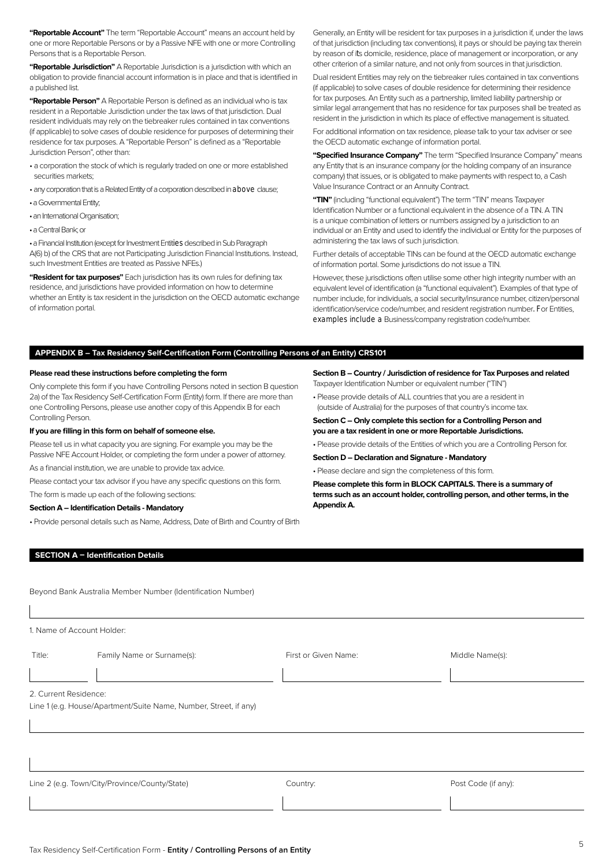**"Reportable Account"** The term "Reportable Account" means an account held by one or more Reportable Persons or by a Passive NFE with one or more Controlling Persons that is a Reportable Person.

**"Reportable Jurisdiction"** A Reportable Jurisdiction is a jurisdiction with which an obligation to provide financial account information is in place and that is identified in a published list.

**"Reportable Person"** A Reportable Person is defined as an individual who is tax resident in a Reportable Jurisdiction under the tax laws of that jurisdiction. Dual resident individuals may rely on the tiebreaker rules contained in tax conventions (if applicable) to solve cases of double residence for purposes of determining their residence for tax purposes. A "Reportable Person" is defined as a "Reportable Jurisdiction Person", other than:

- a corporation the stock of which is regularly traded on one or more established securities markets;
- any corporation that is a Related Entity of a corporation described in above clause;
- a Governmental Entity;
- an International Organisation;
- a Central Bank; or

• a Financial Institution (except for Investment Entities described in Sub Paragraph A(6) b) of the CRS that are not Participating Jurisdiction Financial Institutions. Instead, such Investment Entities are treated as Passive NFEs.)

**"Resident for tax purposes"** Each jurisdiction has its own rules for defining tax residence, and jurisdictions have provided information on how to determine whether an Entity is tax resident in the jurisdiction on the OECD automatic exchange of information portal.

Generally, an Entity will be resident for tax purposes in a jurisdiction if, under the laws of that jurisdiction (including tax conventions), it pays or should be paying tax therein by reason of its domicile, residence, place of management or incorporation, or any other criterion of a similar nature, and not only from sources in that jurisdiction.

Dual resident Entities may rely on the tiebreaker rules contained in tax conventions (if applicable) to solve cases of double residence for determining their residence for tax purposes. An Entity such as a partnership, limited liability partnership or similar legal arrangement that has no residence for tax purposes shall be treated as resident in the jurisdiction in which its place of effective management is situated.

For additional information on tax residence, please talk to your tax adviser or see the OECD automatic exchange of information portal.

**"Specified Insurance Company"** The term "Specified Insurance Company" means any Entity that is an insurance company (or the holding company of an insurance company) that issues, or is obligated to make payments with respect to, a Cash Value Insurance Contract or an Annuity Contract.

**"TIN"** (including "functional equivalent") The term "TIN" means Taxpayer Identification Number or a functional equivalent in the absence of a TIN. A TIN is a unique combination of letters or numbers assigned by a jurisdiction to an individual or an Entity and used to identify the individual or Entity for the purposes of administering the tax laws of such jurisdiction.

Further details of acceptable TINs can be found at the OECD automatic exchange of information portal. Some jurisdictions do not issue a TIN.

However, these jurisdictions often utilise some other high integrity number with an equivalent level of identification (a "functional equivalent"). Examples of that type of number include, for individuals, a social security/insurance number, citizen/personal identification/service code/number, and resident registration number. For Entities, examples include a Business/company registration code/number.

# **APPENDIX B – Tax Residency Self-Certification Form (Controlling Persons of an Entity) CRS101**

# **Please read these instructions before completing the form**

Only complete this form if you have Controlling Persons noted in section B question 2a) of the Tax Residency Self-Certification Form (Entity) form. If there are more than one Controlling Persons, please use another copy of this Appendix B for each Controlling Person.

### **If you are filling in this form on behalf of someone else.**

Please tell us in what capacity you are signing. For example you may be the Passive NFE Account Holder, or completing the form under a power of attorney.

As a financial institution, we are unable to provide tax advice.

Please contact your tax advisor if you have any specific questions on this form.

The form is made up each of the following sections:

# **Section A – Identification Details - Mandatory**

• Provide personal details such as Name, Address, Date of Birth and Country of Birth

**Section B – Country / Jurisdiction of residence for Tax Purposes and related**  Taxpayer Identification Number or equivalent number ("TIN")

• Please provide details of ALL countries that you are a resident in (outside of Australia) for the purposes of that country's income tax.

**Section C – Only complete this section for a Controlling Person and you are a tax resident in one or more Reportable Jurisdictions.**

• Please provide details of the Entities of which you are a Controlling Person for.

**Section D – Declaration and Signature - Mandatory**

• Please declare and sign the completeness of this form.

**Please complete this form in BLOCK CAPITALS. There is a summary of terms such as an account holder, controlling person, and other terms, in the Appendix A.**

### **SECTION A – Identification Details**

Beyond Bank Australia Member Number (Identification Number)

1. Name of Account Holder:

Title: Family Name or Surname(s): First or Given Name: Middle Name(s):

2. Current Residence:

Line 1 (e.g. House/Apartment/Suite Name, Number, Street, if any)

Line 2 (e.g. Town/City/Province/County/State) Country: Country: Post Code (if any):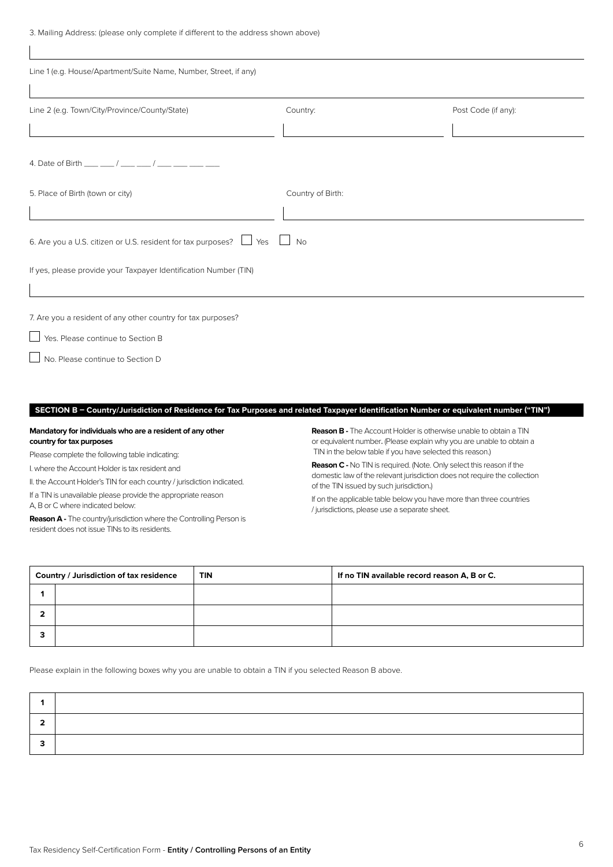3. Mailing Address: (please only complete if different to the address shown above)

| Line 1 (e.g. House/Apartment/Suite Name, Number, Street, if any)                  |                   |                     |
|-----------------------------------------------------------------------------------|-------------------|---------------------|
| Line 2 (e.g. Town/City/Province/County/State)                                     | Country:          | Post Code (if any): |
|                                                                                   |                   |                     |
| 4. Date of Birth ___ __/ ___ __/ ___ __/ ___ ___ ___                              |                   |                     |
| 5. Place of Birth (town or city)                                                  | Country of Birth: |                     |
|                                                                                   |                   |                     |
| 6. Are you a U.S. citizen or U.S. resident for tax purposes? $\Box$ Yes $\Box$ No |                   |                     |
| If yes, please provide your Taxpayer Identification Number (TIN)                  |                   |                     |
|                                                                                   |                   |                     |
| 7. Are you a resident of any other country for tax purposes?                      |                   |                     |
| Yes. Please continue to Section B                                                 |                   |                     |
| No. Please continue to Section D                                                  |                   |                     |
|                                                                                   |                   |                     |
|                                                                                   |                   |                     |

# **SECTION B – Country/Jurisdiction of Residence for Tax Purposes and related Taxpayer Identification Number or equivalent number ("TIN")**

# **Mandatory for individuals who are a resident of any other country for tax purposes**

Please complete the following table indicating:

I. where the Account Holder is tax resident and

II. the Account Holder's TIN for each country / jurisdiction indicated.

If a TIN is unavailable please provide the appropriate reason

A, B or C where indicated below:

 $\overline{1}$ 

**Reason A -** The country/jurisdiction where the Controlling Person is resident does not issue TINs to its residents.

**Reason B -** The Account Holder is otherwise unable to obtain a TIN or equivalent number. (Please explain why you are unable to obtain a TIN in the below table if you have selected this reason.)

**Reason C -** No TIN is required. (Note. Only select this reason if the domestic law of the relevant jurisdiction does not require the collection of the TIN issued by such jurisdiction.)

If on the applicable table below you have more than three countries / jurisdictions, please use a separate sheet.

| Country / Jurisdiction of tax residence |  | <b>TIN</b> | If no TIN available record reason A, B or C. |
|-----------------------------------------|--|------------|----------------------------------------------|
|                                         |  |            |                                              |
|                                         |  |            |                                              |
|                                         |  |            |                                              |

Please explain in the following boxes why you are unable to obtain a TIN if you selected Reason B above.